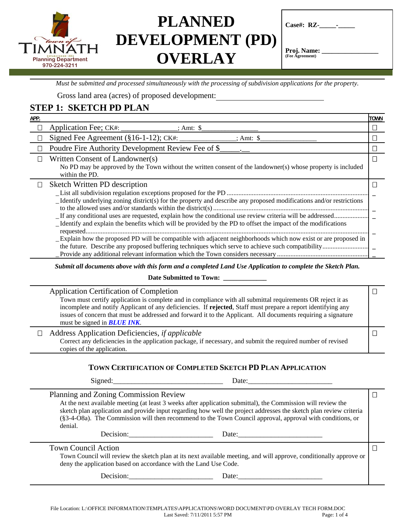

| $Case \#: RZ$ - |  |  |
|-----------------|--|--|
|                 |  |  |

Proj. Name: **(Fee Agreement)** 

*Must be submitted and processed simultaneously with the processing of subdivision applications for the property.* 

Gross land area (acres) of proposed development:

### **STEP 1: SKETCH PD PLAN**

| APP.                                                                                                                                                                                                                                                                                                                                                                                         | TOWN |
|----------------------------------------------------------------------------------------------------------------------------------------------------------------------------------------------------------------------------------------------------------------------------------------------------------------------------------------------------------------------------------------------|------|
| Application Fee; CK#: ______________; Amt: \$<br>$\Box$                                                                                                                                                                                                                                                                                                                                      |      |
| Signed Fee Agreement ( $§16-1-12$ ); CK#: _____<br>: Amt: $\text{\$}$<br>$\Box$                                                                                                                                                                                                                                                                                                              |      |
| Poudre Fire Authority Development Review Fee of \$<br>$\Box$                                                                                                                                                                                                                                                                                                                                 |      |
| Written Consent of Landowner(s)<br>П<br>No PD may be approved by the Town without the written consent of the landowner(s) whose property is included<br>within the PD.                                                                                                                                                                                                                       |      |
| Sketch Written PD description<br>Ш<br>_Identify underlying zoning district(s) for the property and describe any proposed modifications and/or restrictions<br>_Identify and explain the benefits which will be provided by the PD to offset the impact of the modifications<br>Explain how the proposed PD will be compatible with adjacent neighborhoods which now exist or are proposed in |      |

*Submit all documents above with this form and a completed Land Use Application to complete the Sketch Plan.* 

#### **Date Submitted to Town: \_\_\_\_\_\_\_\_\_\_\_\_\_**

| <b>Application Certification of Completion</b>                                                                                                                                                                                                                                                                                                                                       |  |
|--------------------------------------------------------------------------------------------------------------------------------------------------------------------------------------------------------------------------------------------------------------------------------------------------------------------------------------------------------------------------------------|--|
| Town must certify application is complete and in compliance with all submittal requirements OR reject it as<br>incomplete and notify Applicant of any deficiencies. If rejected, Staff must prepare a report identifying any<br>issues of concern that must be addressed and forward it to the Applicant. All documents requiring a signature<br>must be signed in <b>BLUE INK</b> . |  |
| Address Application Deficiencies, <i>if applicable</i><br>$\Box$<br>Correct any deficiencies in the application package, if necessary, and submit the required number of revised<br>copies of the application.                                                                                                                                                                       |  |

### **TOWN CERTIFICATION OF COMPLETED SKETCH PD PLAN APPLICATION**

| Sig<br>neo | .<br>$\sim$<br>$\cdot$ .<br>-- |
|------------|--------------------------------|
|            | $  -$                          |

Planning and Zoning Commission Review

At the next available meeting (at least 3 weeks after application submittal), the Commission will review the sketch plan application and provide input regarding how well the project addresses the sketch plan review criteria (§3-4-O8a). The Commission will then recommend to the Town Council approval, approval with conditions, or denial.

Decision: Decision: Date:

Town Council Action

Town Council will review the sketch plan at its next available meeting, and will approve, conditionally approve or deny the application based on accordance with the Land Use Code.

Decision: Date: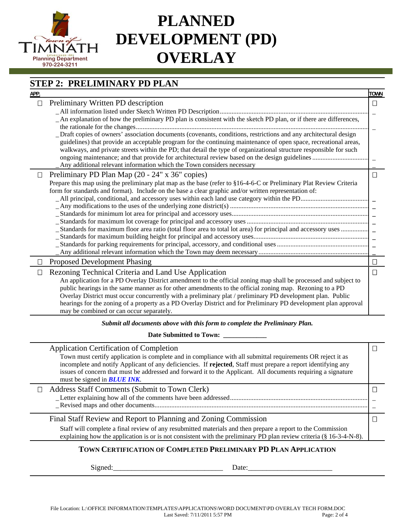

## **STEP 2: PRELIMINARY PD PLAN**

| APP.   |                                                                                                                                                                                                                                                                                                                                                                                                                                                                                                                                                                 | <b>TOWN</b> |
|--------|-----------------------------------------------------------------------------------------------------------------------------------------------------------------------------------------------------------------------------------------------------------------------------------------------------------------------------------------------------------------------------------------------------------------------------------------------------------------------------------------------------------------------------------------------------------------|-------------|
| $\Box$ | Preliminary Written PD description                                                                                                                                                                                                                                                                                                                                                                                                                                                                                                                              | $\Box$      |
|        | _An explanation of how the preliminary PD plan is consistent with the sketch PD plan, or if there are differences,                                                                                                                                                                                                                                                                                                                                                                                                                                              |             |
|        | Draft copies of owners' association documents (covenants, conditions, restrictions and any architectural design<br>guidelines) that provide an acceptable program for the continuing maintenance of open space, recreational areas,<br>walkways, and private streets within the PD; that detail the type of organizational structure responsible for such<br>Any additional relevant information which the Town considers necessary                                                                                                                             |             |
| $\Box$ | Preliminary PD Plan Map (20 - 24" x 36" copies)<br>Prepare this map using the preliminary plat map as the base (refer to §16-4-6-C or Preliminary Plat Review Criteria<br>form for standards and format). Include on the base a clear graphic and/or written representation of:<br>_Standards for maximum floor area ratio (total floor area to total lot area) for principal and accessory uses                                                                                                                                                                | $\Box$      |
| П      | <b>Proposed Development Phasing</b>                                                                                                                                                                                                                                                                                                                                                                                                                                                                                                                             | $\Box$      |
|        | Rezoning Technical Criteria and Land Use Application<br>An application for a PD Overlay District amendment to the official zoning map shall be processed and subject to<br>public hearings in the same manner as for other amendments to the official zoning map. Rezoning to a PD<br>Overlay District must occur concurrently with a preliminary plat / preliminary PD development plan. Public<br>hearings for the zoning of a property as a PD Overlay District and for Preliminary PD development plan approval<br>may be combined or can occur separately. | $\Box$      |

#### *Submit all documents above with this form to complete the Preliminary Plan.*

Date Submitted to Town:

| <b>Application Certification of Completion</b><br>Town must certify application is complete and in compliance with all submittal requirements OR reject it as<br>incomplete and notify Applicant of any deficiencies. If rejected, Staff must prepare a report identifying any<br>issues of concern that must be addressed and forward it to the Applicant. All documents requiring a signature<br>must be signed in <b>BLUE INK</b> . |  |
|----------------------------------------------------------------------------------------------------------------------------------------------------------------------------------------------------------------------------------------------------------------------------------------------------------------------------------------------------------------------------------------------------------------------------------------|--|
| Address Staff Comments (Submit to Town Clerk)                                                                                                                                                                                                                                                                                                                                                                                          |  |
|                                                                                                                                                                                                                                                                                                                                                                                                                                        |  |
| Final Staff Review and Report to Planning and Zoning Commission                                                                                                                                                                                                                                                                                                                                                                        |  |
| Staff will complete a final review of any resubmitted materials and then prepare a report to the Commission<br>explaining how the application is or is not consistent with the preliminary PD plan review criteria $(\S 16-3-4-N-8)$ .                                                                                                                                                                                                 |  |
|                                                                                                                                                                                                                                                                                                                                                                                                                                        |  |

### **TOWN CERTIFICATION OF COMPLETED PRELIMINARY PD PLAN APPLICATION**

Signed:\_\_\_\_\_\_\_\_\_\_\_\_\_\_\_\_\_\_\_\_\_\_\_\_\_\_\_\_\_\_ Date:\_\_\_\_\_\_\_\_\_\_\_\_\_\_\_\_\_\_\_\_\_\_\_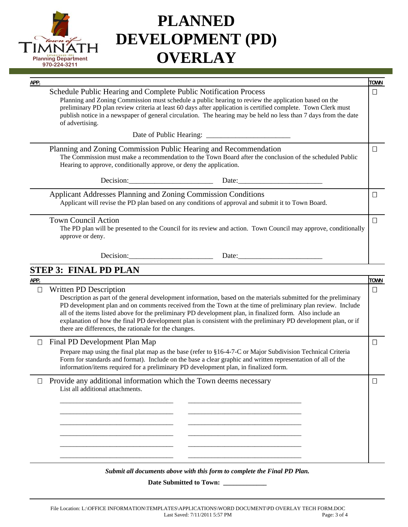

 $STI$ 

| APP.   |                                                                                                                                                                                                                                                                                                                                                                                                                                 | <b>TOWN</b> |
|--------|---------------------------------------------------------------------------------------------------------------------------------------------------------------------------------------------------------------------------------------------------------------------------------------------------------------------------------------------------------------------------------------------------------------------------------|-------------|
|        | Schedule Public Hearing and Complete Public Notification Process<br>Planning and Zoning Commission must schedule a public hearing to review the application based on the<br>preliminary PD plan review criteria at least 60 days after application is certified complete. Town Clerk must<br>publish notice in a newspaper of general circulation. The hearing may be held no less than 7 days from the date<br>of advertising. | $\Box$      |
|        |                                                                                                                                                                                                                                                                                                                                                                                                                                 |             |
|        | Planning and Zoning Commission Public Hearing and Recommendation<br>The Commission must make a recommendation to the Town Board after the conclusion of the scheduled Public<br>Hearing to approve, conditionally approve, or deny the application.                                                                                                                                                                             | □           |
|        |                                                                                                                                                                                                                                                                                                                                                                                                                                 |             |
|        | <b>Applicant Addresses Planning and Zoning Commission Conditions</b><br>Applicant will revise the PD plan based on any conditions of approval and submit it to Town Board.                                                                                                                                                                                                                                                      | $\Box$      |
|        | <b>Town Council Action</b><br>The PD plan will be presented to the Council for its review and action. Town Council may approve, conditionally<br>approve or deny.                                                                                                                                                                                                                                                               | □           |
|        |                                                                                                                                                                                                                                                                                                                                                                                                                                 |             |
|        | <b>STEP 3: FINAL PD PLAN</b>                                                                                                                                                                                                                                                                                                                                                                                                    |             |
| APP.   |                                                                                                                                                                                                                                                                                                                                                                                                                                 | <b>TOWN</b> |
| $\Box$ | Written PD Description<br>Description as part of the general development information, based on the materials submitted for the preliminary                                                                                                                                                                                                                                                                                      | $\Box$      |

PD development plan and on comments received from the Town at the time of preliminary plan review. Include all of the items listed above for the preliminary PD development plan, in finalized form. Also include an explanation of how the final PD development plan is consistent with the preliminary PD development plan, or if there are differences, the rationale for the changes.

#### Final PD Development Plan Map

Prepare map using the final plat map as the base (refer to §16-4-7-C or Major Subdivision Technical Criteria Form for standards and format). Include on the base a clear graphic and written representation of all of the information/items required for a preliminary PD development plan, in finalized form.

### $\Box$  Provide any additional information which the Town deems necessary List all additional attachments.

\_\_\_\_\_\_\_\_\_\_\_\_\_\_\_\_\_\_\_\_\_\_\_\_\_\_\_\_\_\_\_\_\_\_ \_\_\_\_\_\_\_\_\_\_\_\_\_\_\_\_\_\_\_\_\_\_\_\_\_\_\_\_\_\_\_\_\_\_ \_\_\_\_\_\_\_\_\_\_\_\_\_\_\_\_\_\_\_\_\_\_\_\_\_\_\_\_\_\_\_\_\_\_ \_\_\_\_\_\_\_\_\_\_\_\_\_\_\_\_\_\_\_\_\_\_\_\_\_\_\_\_\_\_\_\_\_\_ \_\_\_\_\_\_\_\_\_\_\_\_\_\_\_\_\_\_\_\_\_\_\_\_\_\_\_\_\_\_\_\_\_\_ \_\_\_\_\_\_\_\_\_\_\_\_\_\_\_\_\_\_\_\_\_\_\_\_\_\_\_\_\_\_\_\_\_\_ \_\_\_\_\_\_\_\_\_\_\_\_\_\_\_\_\_\_\_\_\_\_\_\_\_\_\_\_\_\_\_\_\_\_ \_\_\_\_\_\_\_\_\_\_\_\_\_\_\_\_\_\_\_\_\_\_\_\_\_\_\_\_\_\_\_\_\_\_ \_\_\_\_\_\_\_\_\_\_\_\_\_\_\_\_\_\_\_\_\_\_\_\_\_\_\_\_\_\_\_\_\_\_ \_\_\_\_\_\_\_\_\_\_\_\_\_\_\_\_\_\_\_\_\_\_\_\_\_\_\_\_\_\_\_\_\_\_ \_\_\_\_\_\_\_\_\_\_\_\_\_\_\_\_\_\_\_\_\_\_\_\_\_\_\_\_\_\_\_\_\_\_ \_\_\_\_\_\_\_\_\_\_\_\_\_\_\_\_\_\_\_\_\_\_\_\_\_\_\_\_\_\_\_\_\_\_

*Submit all documents above with this form to complete the Final PD Plan.* 

**Date Submitted to Town: \_\_\_\_\_\_\_\_\_\_\_\_\_**